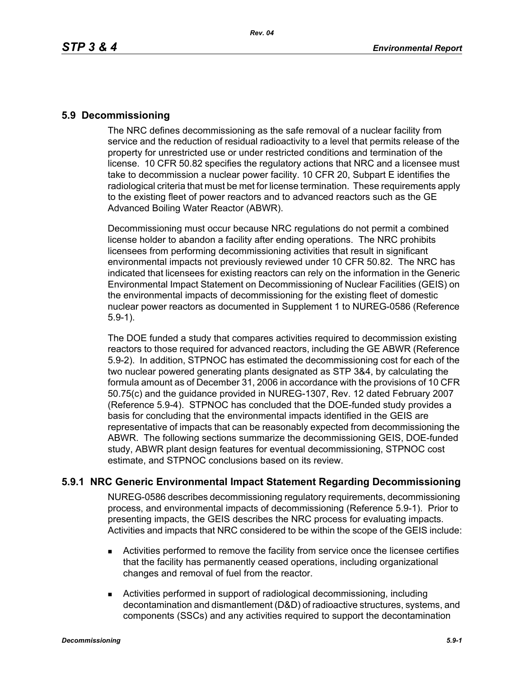### **5.9 Decommissioning**

The NRC defines decommissioning as the safe removal of a nuclear facility from service and the reduction of residual radioactivity to a level that permits release of the property for unrestricted use or under restricted conditions and termination of the license. 10 CFR 50.82 specifies the regulatory actions that NRC and a licensee must take to decommission a nuclear power facility. 10 CFR 20, Subpart E identifies the radiological criteria that must be met for license termination. These requirements apply to the existing fleet of power reactors and to advanced reactors such as the GE Advanced Boiling Water Reactor (ABWR).

Decommissioning must occur because NRC regulations do not permit a combined license holder to abandon a facility after ending operations. The NRC prohibits licensees from performing decommissioning activities that result in significant environmental impacts not previously reviewed under 10 CFR 50.82. The NRC has indicated that licensees for existing reactors can rely on the information in the Generic Environmental Impact Statement on Decommissioning of Nuclear Facilities (GEIS) on the environmental impacts of decommissioning for the existing fleet of domestic nuclear power reactors as documented in Supplement 1 to NUREG-0586 (Reference 5.9-1).

The DOE funded a study that compares activities required to decommission existing reactors to those required for advanced reactors, including the GE ABWR (Reference 5.9-2). In addition, STPNOC has estimated the decommissioning cost for each of the two nuclear powered generating plants designated as STP 3&4, by calculating the formula amount as of December 31, 2006 in accordance with the provisions of 10 CFR 50.75(c) and the guidance provided in NUREG-1307, Rev. 12 dated February 2007 (Reference 5.9-4). STPNOC has concluded that the DOE-funded study provides a basis for concluding that the environmental impacts identified in the GEIS are representative of impacts that can be reasonably expected from decommissioning the ABWR. The following sections summarize the decommissioning GEIS, DOE-funded study, ABWR plant design features for eventual decommissioning, STPNOC cost estimate, and STPNOC conclusions based on its review.

## **5.9.1 NRC Generic Environmental Impact Statement Regarding Decommissioning**

NUREG-0586 describes decommissioning regulatory requirements, decommissioning process, and environmental impacts of decommissioning (Reference 5.9-1). Prior to presenting impacts, the GEIS describes the NRC process for evaluating impacts. Activities and impacts that NRC considered to be within the scope of the GEIS include:

- Activities performed to remove the facility from service once the licensee certifies that the facility has permanently ceased operations, including organizational changes and removal of fuel from the reactor.
- Activities performed in support of radiological decommissioning, including decontamination and dismantlement (D&D) of radioactive structures, systems, and components (SSCs) and any activities required to support the decontamination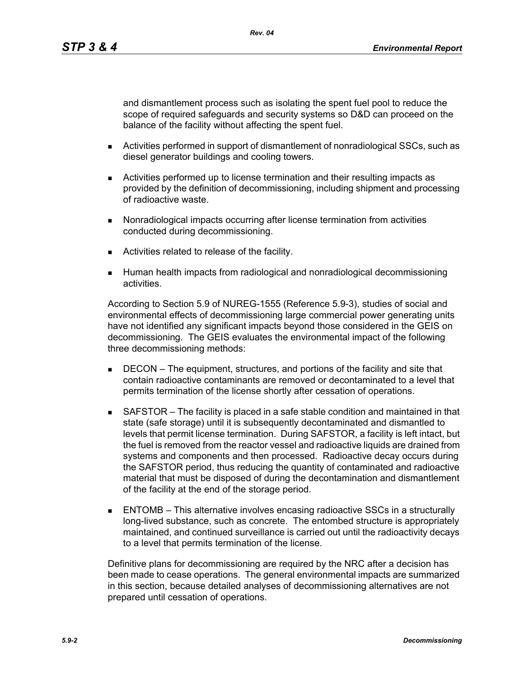and dismantlement process such as isolating the spent fuel pool to reduce the scope of required safeguards and security systems so D&D can proceed on the balance of the facility without affecting the spent fuel.

- **EXECT:** Activities performed in support of dismantlement of nonradiological SSCs, such as diesel generator buildings and cooling towers.
- Activities performed up to license termination and their resulting impacts as provided by the definition of decommissioning, including shipment and processing of radioactive waste.
- Nonradiological impacts occurring after license termination from activities conducted during decommissioning.
- Activities related to release of the facility.
- **Human health impacts from radiological and nonradiological decommissioning** activities.

According to Section 5.9 of NUREG-1555 (Reference 5.9-3), studies of social and environmental effects of decommissioning large commercial power generating units have not identified any significant impacts beyond those considered in the GEIS on decommissioning. The GEIS evaluates the environmental impact of the following three decommissioning methods:

- **DECON** The equipment, structures, and portions of the facility and site that contain radioactive contaminants are removed or decontaminated to a level that permits termination of the license shortly after cessation of operations.
- SAFSTOR The facility is placed in a safe stable condition and maintained in that state (safe storage) until it is subsequently decontaminated and dismantled to levels that permit license termination. During SAFSTOR, a facility is left intact, but the fuel is removed from the reactor vessel and radioactive liquids are drained from systems and components and then processed. Radioactive decay occurs during the SAFSTOR period, thus reducing the quantity of contaminated and radioactive material that must be disposed of during the decontamination and dismantlement of the facility at the end of the storage period.
- ENTOMB This alternative involves encasing radioactive SSCs in a structurally long-lived substance, such as concrete. The entombed structure is appropriately maintained, and continued surveillance is carried out until the radioactivity decays to a level that permits termination of the license.

Definitive plans for decommissioning are required by the NRC after a decision has been made to cease operations. The general environmental impacts are summarized in this section, because detailed analyses of decommissioning alternatives are not prepared until cessation of operations.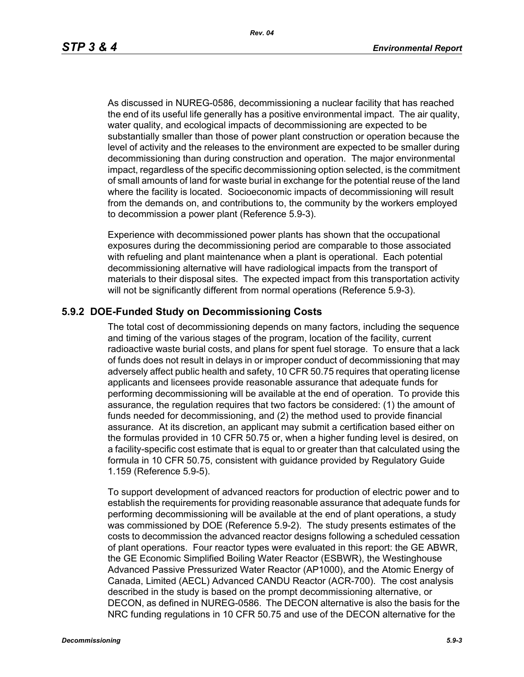As discussed in NUREG-0586, decommissioning a nuclear facility that has reached the end of its useful life generally has a positive environmental impact. The air quality, water quality, and ecological impacts of decommissioning are expected to be substantially smaller than those of power plant construction or operation because the level of activity and the releases to the environment are expected to be smaller during decommissioning than during construction and operation. The major environmental impact, regardless of the specific decommissioning option selected, is the commitment of small amounts of land for waste burial in exchange for the potential reuse of the land where the facility is located. Socioeconomic impacts of decommissioning will result from the demands on, and contributions to, the community by the workers employed to decommission a power plant (Reference 5.9-3).

Experience with decommissioned power plants has shown that the occupational exposures during the decommissioning period are comparable to those associated with refueling and plant maintenance when a plant is operational. Each potential decommissioning alternative will have radiological impacts from the transport of materials to their disposal sites. The expected impact from this transportation activity will not be significantly different from normal operations (Reference 5.9-3).

#### **5.9.2 DOE-Funded Study on Decommissioning Costs**

The total cost of decommissioning depends on many factors, including the sequence and timing of the various stages of the program, location of the facility, current radioactive waste burial costs, and plans for spent fuel storage. To ensure that a lack of funds does not result in delays in or improper conduct of decommissioning that may adversely affect public health and safety, 10 CFR 50.75 requires that operating license applicants and licensees provide reasonable assurance that adequate funds for performing decommissioning will be available at the end of operation. To provide this assurance, the regulation requires that two factors be considered: (1) the amount of funds needed for decommissioning, and (2) the method used to provide financial assurance. At its discretion, an applicant may submit a certification based either on the formulas provided in 10 CFR 50.75 or, when a higher funding level is desired, on a facility-specific cost estimate that is equal to or greater than that calculated using the formula in 10 CFR 50.75, consistent with guidance provided by Regulatory Guide 1.159 (Reference 5.9-5).

To support development of advanced reactors for production of electric power and to establish the requirements for providing reasonable assurance that adequate funds for performing decommissioning will be available at the end of plant operations, a study was commissioned by DOE (Reference 5.9-2). The study presents estimates of the costs to decommission the advanced reactor designs following a scheduled cessation of plant operations. Four reactor types were evaluated in this report: the GE ABWR, the GE Economic Simplified Boiling Water Reactor (ESBWR), the Westinghouse Advanced Passive Pressurized Water Reactor (AP1000), and the Atomic Energy of Canada, Limited (AECL) Advanced CANDU Reactor (ACR-700). The cost analysis described in the study is based on the prompt decommissioning alternative, or DECON, as defined in NUREG-0586. The DECON alternative is also the basis for the NRC funding regulations in 10 CFR 50.75 and use of the DECON alternative for the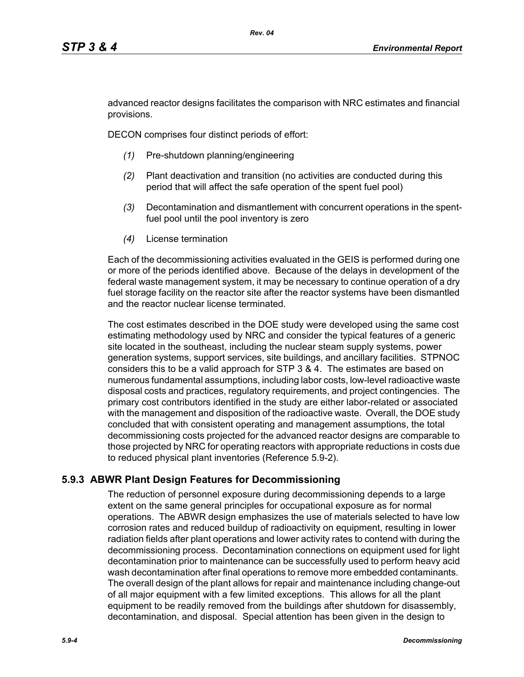advanced reactor designs facilitates the comparison with NRC estimates and financial provisions.

DECON comprises four distinct periods of effort:

- *(1)* Pre-shutdown planning/engineering
- *(2)* Plant deactivation and transition (no activities are conducted during this period that will affect the safe operation of the spent fuel pool)
- *(3)* Decontamination and dismantlement with concurrent operations in the spentfuel pool until the pool inventory is zero
- *(4)* License termination

Each of the decommissioning activities evaluated in the GEIS is performed during one or more of the periods identified above. Because of the delays in development of the federal waste management system, it may be necessary to continue operation of a dry fuel storage facility on the reactor site after the reactor systems have been dismantled and the reactor nuclear license terminated.

The cost estimates described in the DOE study were developed using the same cost estimating methodology used by NRC and consider the typical features of a generic site located in the southeast, including the nuclear steam supply systems, power generation systems, support services, site buildings, and ancillary facilities. STPNOC considers this to be a valid approach for STP 3 & 4. The estimates are based on numerous fundamental assumptions, including labor costs, low-level radioactive waste disposal costs and practices, regulatory requirements, and project contingencies. The primary cost contributors identified in the study are either labor-related or associated with the management and disposition of the radioactive waste. Overall, the DOE study concluded that with consistent operating and management assumptions, the total decommissioning costs projected for the advanced reactor designs are comparable to those projected by NRC for operating reactors with appropriate reductions in costs due to reduced physical plant inventories (Reference 5.9-2).

# **5.9.3 ABWR Plant Design Features for Decommissioning**

The reduction of personnel exposure during decommissioning depends to a large extent on the same general principles for occupational exposure as for normal operations. The ABWR design emphasizes the use of materials selected to have low corrosion rates and reduced buildup of radioactivity on equipment, resulting in lower radiation fields after plant operations and lower activity rates to contend with during the decommissioning process. Decontamination connections on equipment used for light decontamination prior to maintenance can be successfully used to perform heavy acid wash decontamination after final operations to remove more embedded contaminants. The overall design of the plant allows for repair and maintenance including change-out of all major equipment with a few limited exceptions. This allows for all the plant equipment to be readily removed from the buildings after shutdown for disassembly, decontamination, and disposal. Special attention has been given in the design to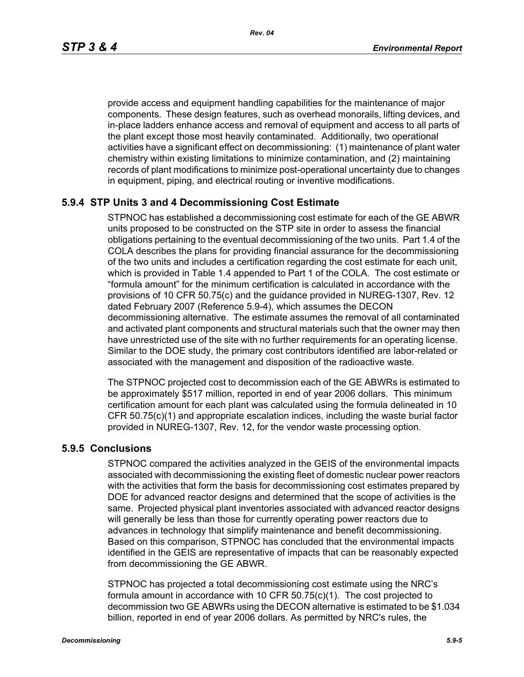*Rev. 04*

provide access and equipment handling capabilities for the maintenance of major components. These design features, such as overhead monorails, lifting devices, and in-place ladders enhance access and removal of equipment and access to all parts of the plant except those most heavily contaminated. Additionally, two operational activities have a significant effect on decommissioning: (1) maintenance of plant water chemistry within existing limitations to minimize contamination, and (2) maintaining records of plant modifications to minimize post-operational uncertainty due to changes in equipment, piping, and electrical routing or inventive modifications.

# **5.9.4 STP Units 3 and 4 Decommissioning Cost Estimate**

STPNOC has established a decommissioning cost estimate for each of the GE ABWR units proposed to be constructed on the STP site in order to assess the financial obligations pertaining to the eventual decommissioning of the two units. Part 1.4 of the COLA describes the plans for providing financial assurance for the decommissioning of the two units and includes a certification regarding the cost estimate for each unit, which is provided in Table 1.4 appended to Part 1 of the COLA. The cost estimate or "formula amount" for the minimum certification is calculated in accordance with the provisions of 10 CFR 50.75(c) and the guidance provided in NUREG-1307, Rev. 12 dated February 2007 (Reference 5.9-4), which assumes the DECON decommissioning alternative. The estimate assumes the removal of all contaminated and activated plant components and structural materials such that the owner may then have unrestricted use of the site with no further requirements for an operating license. Similar to the DOE study, the primary cost contributors identified are labor-related or associated with the management and disposition of the radioactive waste.

The STPNOC projected cost to decommission each of the GE ABWRs is estimated to be approximately \$517 million, reported in end of year 2006 dollars. This minimum certification amount for each plant was calculated using the formula delineated in 10 CFR 50.75(c)(1) and appropriate escalation indices, including the waste burial factor provided in NUREG-1307, Rev. 12, for the vendor waste processing option.

## **5.9.5 Conclusions**

STPNOC compared the activities analyzed in the GEIS of the environmental impacts associated with decommissioning the existing fleet of domestic nuclear power reactors with the activities that form the basis for decommissioning cost estimates prepared by DOE for advanced reactor designs and determined that the scope of activities is the same. Projected physical plant inventories associated with advanced reactor designs will generally be less than those for currently operating power reactors due to advances in technology that simplify maintenance and benefit decommissioning. Based on this comparison, STPNOC has concluded that the environmental impacts identified in the GEIS are representative of impacts that can be reasonably expected from decommissioning the GE ABWR.

STPNOC has projected a total decommissioning cost estimate using the NRC's formula amount in accordance with 10 CFR 50.75(c)(1). The cost projected to decommission two GE ABWRs using the DECON alternative is estimated to be \$1.034 billion, reported in end of year 2006 dollars. As permitted by NRC's rules, the